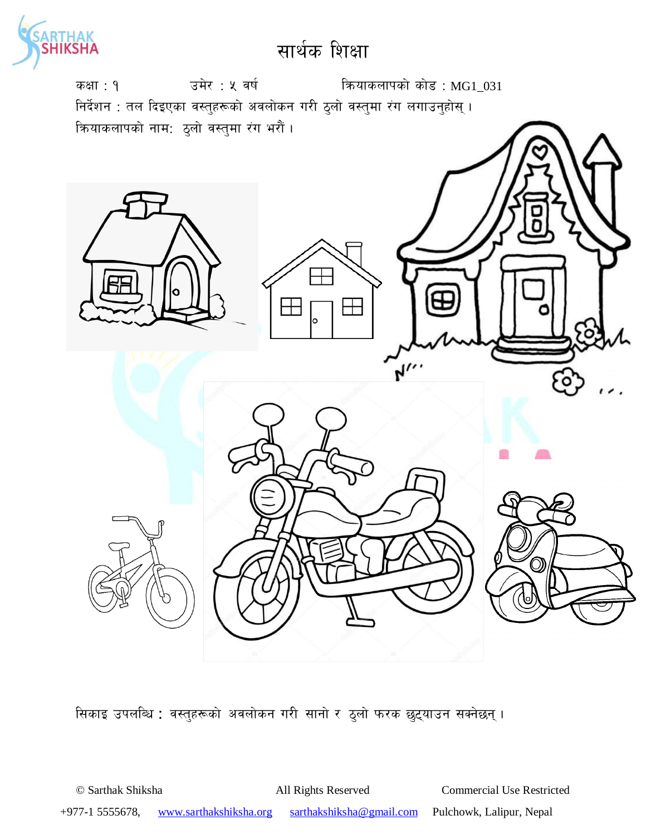



सिकाइ उपलब्धि : वस्तुहरूको अवलोकन गरी सानो र ठुलो फरक छुट्याउन सक्नेछन् ।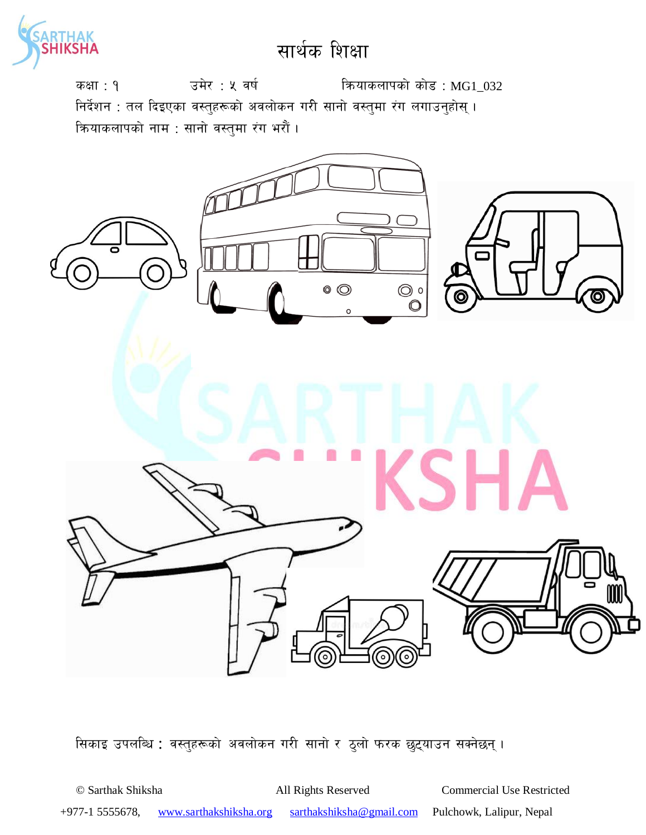

कक्षा: १  $\overline{3}$  उमेर: ५ वर्ष स्वियाकलापको कोड: MG1\_032 निर्देशन : तल दिइएका वस्तुहरूको अवलोकन गरी सानो वस्तुमा रंग लगाउनुहोस् । कियाकलापको नाम : सानो वस्तुमा रंग भरौं ।



सिकाइ उपलब्धि : वस्तुहरूको अवलोकन गरी सानो र ठुलो फरक छुट्याउन सक्नेछन् ।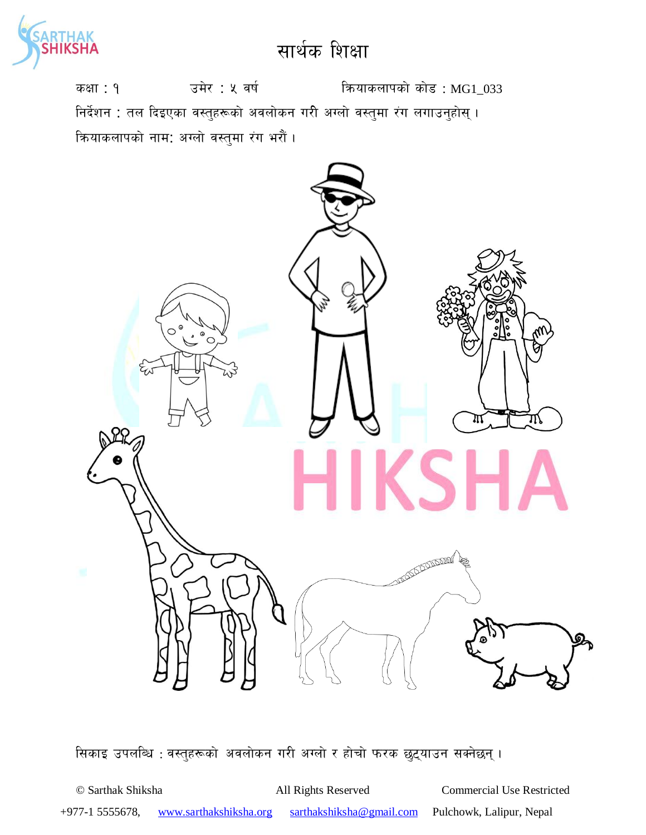

कक्षा : १  $\overline{3}$  उमेर : ५ वर्ष : क्षियाकलापको कोड : MG1\_033 निर्देशन : तल दिइएका वस्तुहरूको अवलोकन गरी अग्लो वस्तुमा रंग लगाउनुहोस् । कियाकलापको नाम: अग्लो वस्तुमा रंग भरौं ।



सिकाइ उपलब्धि : वस्तुहरूको अवलोकन गरी अग्लो र होचो फरक छुट्याउन सक्नेछन् ।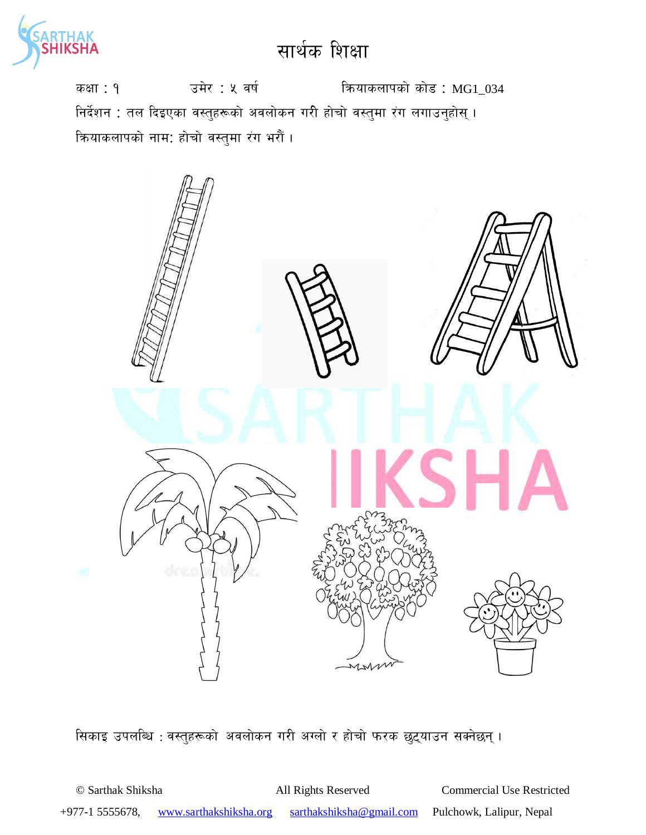

कक्षा : १  $\overline{3}$  उमेर : ५ वर्ष : कियाकलापको कोड : MG1\_034 निर्देशन : तल दिइएका वस्तुहरूको अवलोकन गरी होचो वस्तुमा रंग लगाउनुहोस् । क्रियाकलापको नाम: होचो वस्तुमा रंग भरौं ।



सिकाइ उपलब्धि : वस्तुहरूको अवलोकन गरी अग्लो र होचो फरक छुट्याउन सक्नेछन् ।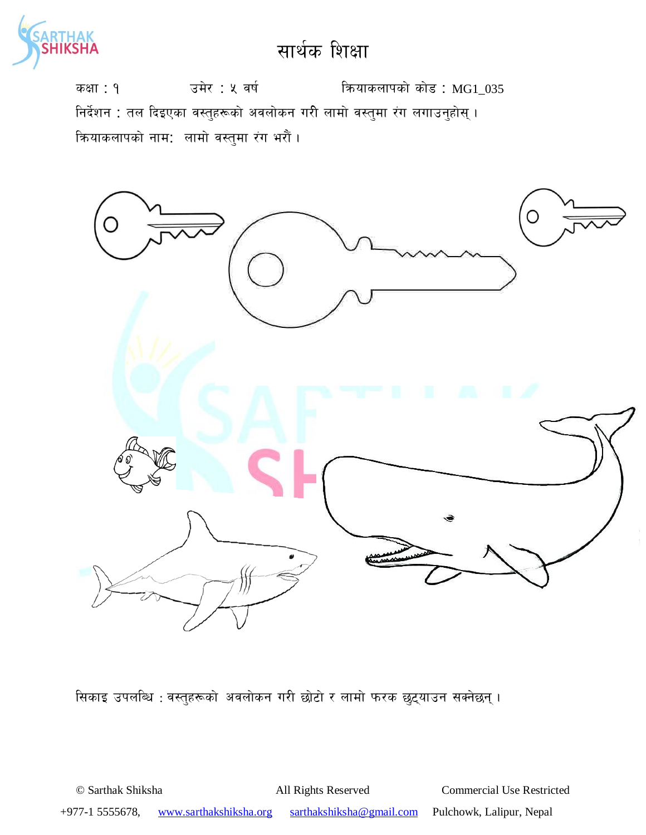

कक्षा : १  $\overline{3}$  उमेर : ५ वर्ष : कियाकलापको कोड : MG1\_035 निर्देशन : तल दिइएका वस्तुहरूको अवलोकन गरी लामो वस्तुमा रंग लगाउनुहोस् । क्रियाकलापको नाम: लामो वस्तुमा रंग भरौं।



सिकाइ उपलब्धि : वस्तुहरूको अवलोकन गरी छोटो र लामो फरक छुट्याउन सक्नेछन् ।